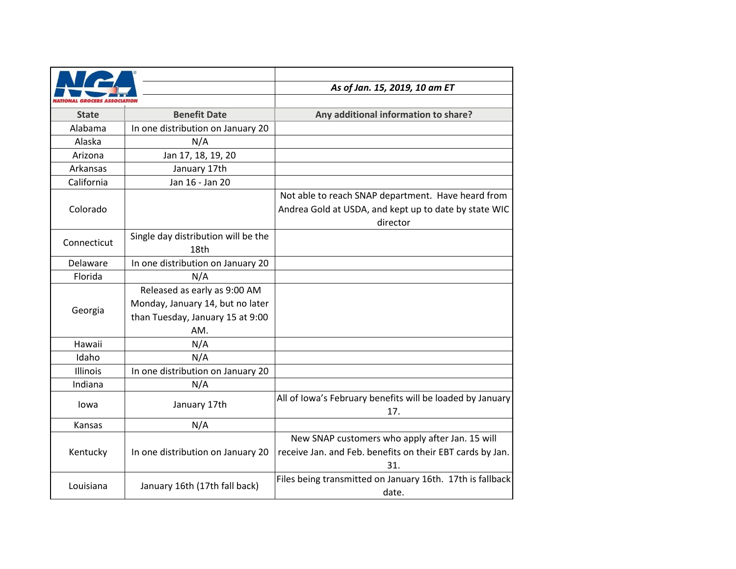|              |                                     | As of Jan. 15, 2019, 10 am ET                                    |
|--------------|-------------------------------------|------------------------------------------------------------------|
|              |                                     |                                                                  |
| <b>State</b> | <b>Benefit Date</b>                 | Any additional information to share?                             |
| Alabama      | In one distribution on January 20   |                                                                  |
| Alaska       | N/A                                 |                                                                  |
| Arizona      | Jan 17, 18, 19, 20                  |                                                                  |
| Arkansas     | January 17th                        |                                                                  |
| California   | Jan 16 - Jan 20                     |                                                                  |
| Colorado     |                                     | Not able to reach SNAP department. Have heard from               |
|              |                                     | Andrea Gold at USDA, and kept up to date by state WIC            |
|              |                                     | director                                                         |
|              | Single day distribution will be the |                                                                  |
| Connecticut  | 18th                                |                                                                  |
| Delaware     | In one distribution on January 20   |                                                                  |
| Florida      | N/A                                 |                                                                  |
| Georgia      | Released as early as 9:00 AM        |                                                                  |
|              | Monday, January 14, but no later    |                                                                  |
|              | than Tuesday, January 15 at 9:00    |                                                                  |
|              | AM.                                 |                                                                  |
| Hawaii       | N/A                                 |                                                                  |
| Idaho        | N/A                                 |                                                                  |
| Illinois     | In one distribution on January 20   |                                                                  |
| Indiana      | N/A                                 |                                                                  |
| lowa         | January 17th                        | All of Iowa's February benefits will be loaded by January<br>17. |
| Kansas       | N/A                                 |                                                                  |
| Kentucky     | In one distribution on January 20   | New SNAP customers who apply after Jan. 15 will                  |
|              |                                     | receive Jan. and Feb. benefits on their EBT cards by Jan.        |
|              |                                     | 31.                                                              |
| Louisiana    | January 16th (17th fall back)       | Files being transmitted on January 16th. 17th is fallback        |
|              |                                     | date.                                                            |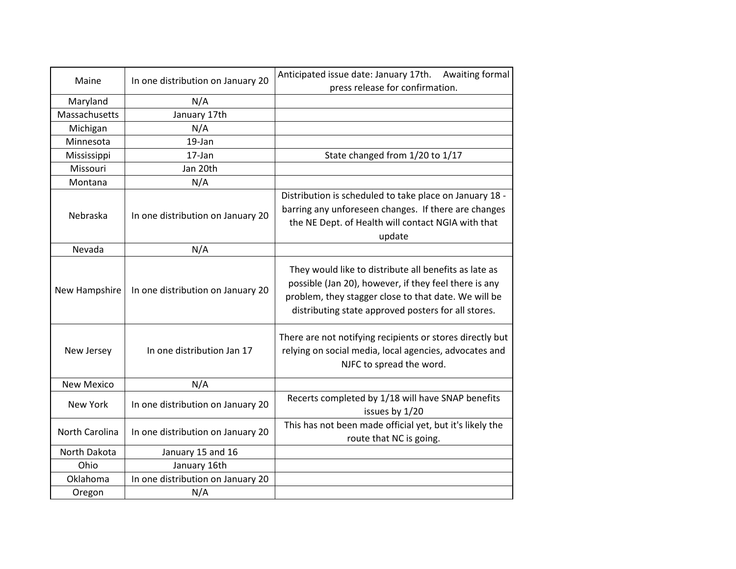| Maine             | In one distribution on January 20 | Anticipated issue date: January 17th.<br>Awaiting formal<br>press release for confirmation.                                                                                                                                   |
|-------------------|-----------------------------------|-------------------------------------------------------------------------------------------------------------------------------------------------------------------------------------------------------------------------------|
| Maryland          | N/A                               |                                                                                                                                                                                                                               |
| Massachusetts     | January 17th                      |                                                                                                                                                                                                                               |
| Michigan          | N/A                               |                                                                                                                                                                                                                               |
| Minnesota         | 19-Jan                            |                                                                                                                                                                                                                               |
| Mississippi       | 17-Jan                            | State changed from 1/20 to 1/17                                                                                                                                                                                               |
| Missouri          | Jan 20th                          |                                                                                                                                                                                                                               |
| Montana           | N/A                               |                                                                                                                                                                                                                               |
| Nebraska          | In one distribution on January 20 | Distribution is scheduled to take place on January 18 -<br>barring any unforeseen changes. If there are changes<br>the NE Dept. of Health will contact NGIA with that<br>update                                               |
| Nevada            | N/A                               |                                                                                                                                                                                                                               |
| New Hampshire     | In one distribution on January 20 | They would like to distribute all benefits as late as<br>possible (Jan 20), however, if they feel there is any<br>problem, they stagger close to that date. We will be<br>distributing state approved posters for all stores. |
| New Jersey        | In one distribution Jan 17        | There are not notifying recipients or stores directly but<br>relying on social media, local agencies, advocates and<br>NJFC to spread the word.                                                                               |
| <b>New Mexico</b> | N/A                               |                                                                                                                                                                                                                               |
| New York          | In one distribution on January 20 | Recerts completed by 1/18 will have SNAP benefits<br>issues by 1/20                                                                                                                                                           |
| North Carolina    | In one distribution on January 20 | This has not been made official yet, but it's likely the<br>route that NC is going.                                                                                                                                           |
| North Dakota      | January 15 and 16                 |                                                                                                                                                                                                                               |
| Ohio              | January 16th                      |                                                                                                                                                                                                                               |
| Oklahoma          | In one distribution on January 20 |                                                                                                                                                                                                                               |
| Oregon            | N/A                               |                                                                                                                                                                                                                               |